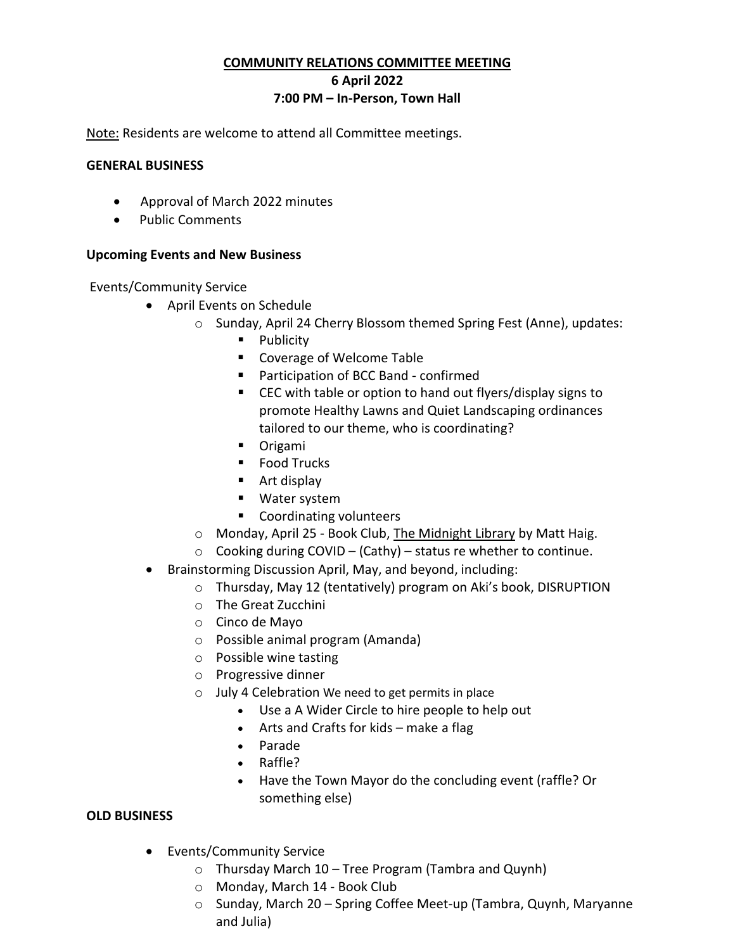### **COMMUNITY RELATIONS COMMITTEE MEETING**

**6 April 2022**

### **7:00 PM – In-Person, Town Hall**

Note: Residents are welcome to attend all Committee meetings.

### **GENERAL BUSINESS**

- Approval of March 2022 minutes
- Public Comments

### **Upcoming Events and New Business**

Events/Community Service

- April Events on Schedule
	- o Sunday, April 24 Cherry Blossom themed Spring Fest (Anne), updates:
		- **Publicity**
		- Coverage of Welcome Table
		- Participation of BCC Band confirmed
		- CEC with table or option to hand out flyers/display signs to promote Healthy Lawns and Quiet Landscaping ordinances tailored to our theme, who is coordinating?
		- **Drigami**
		- **Food Trucks**
		- Art display
		- Water system
		- **Coordinating volunteers**
	- o Monday, April 25 Book Club, The Midnight Library by Matt Haig.
	- $\circ$  Cooking during COVID (Cathy) status re whether to continue.
- Brainstorming Discussion April, May, and beyond, including:
	- o Thursday, May 12 (tentatively) program on Aki's book, DISRUPTION
	- o The Great Zucchini
	- o Cinco de Mayo
	- o Possible animal program (Amanda)
	- o Possible wine tasting
	- o Progressive dinner
	- o July 4 Celebration We need to get permits in place
		- Use a A Wider Circle to hire people to help out
		- Arts and Crafts for kids make a flag
		- Parade
		- Raffle?
		- Have the Town Mayor do the concluding event (raffle? Or something else)

# **OLD BUSINESS**

- Events/Community Service
	- o Thursday March 10 Tree Program (Tambra and Quynh)
	- o Monday, March 14 Book Club
	- o Sunday, March 20 Spring Coffee Meet-up (Tambra, Quynh, Maryanne and Julia)